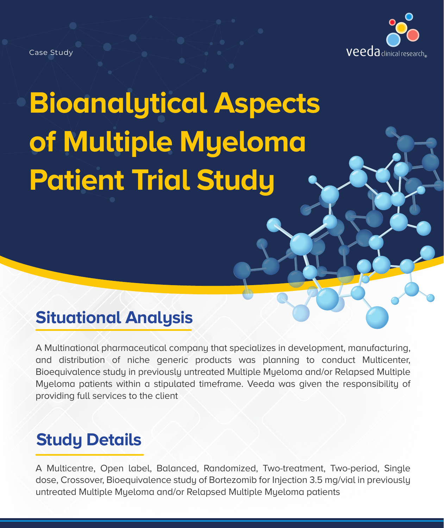

# **Bioanalytical Aspects of Multiple Myeloma Patient Trial Study**

#### **Situational Analysis**

A Multinational pharmaceutical company that specializes in development, manufacturing, and distribution of niche generic products was planning to conduct Multicenter, Bioequivalence study in previously untreated Multiple Myeloma and/or Relapsed Multiple Myeloma patients within a stipulated timeframe. Veeda was given the responsibility of providing full services to the client

## **Study Details**

A Multicentre, Open label, Balanced, Randomized, Two-treatment, Two-period, Single dose, Crossover, Bioequivalence study of Bortezomib for Injection 3.5 mg/vial in previously untreated Multiple Myeloma and/or Relapsed Multiple Myeloma patients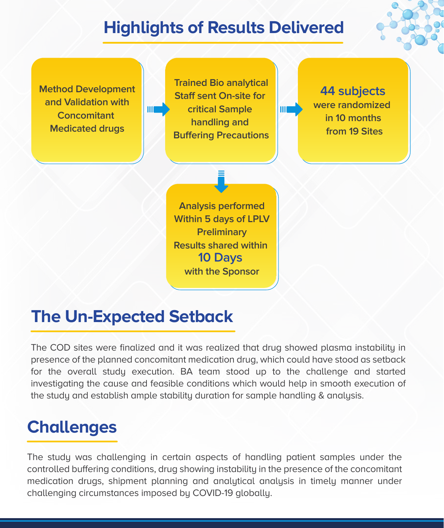## **Highlights of Results Delivered**



**Method Development and Validation with Concomitant Medicated drugs**

**Trained Bio analytical Staff sent On-site for critical Sample handling and Buffering Precautions**

 $III$ 

**44 subjects were randomized in 10 months from 19 Sites**

**Analysis performed Within 5 days of LPLV Preliminary Results shared within 10 Days with the Sponsor**

#### **The Un-Expected Setback**

Ш

The COD sites were finalized and it was realized that drug showed plasma instability in presence of the planned concomitant medication drug, which could have stood as setback for the overall study execution. BA team stood up to the challenge and started investigating the cause and feasible conditions which would help in smooth execution of the study and establish ample stability duration for sample handling & analysis.

## **Challenges**

The study was challenging in certain aspects of handling patient samples under the controlled buffering conditions, drug showing instability in the presence of the concomitant medication drugs, shipment planning and analytical analysis in timely manner under challenging circumstances imposed by COVID-19 globally.